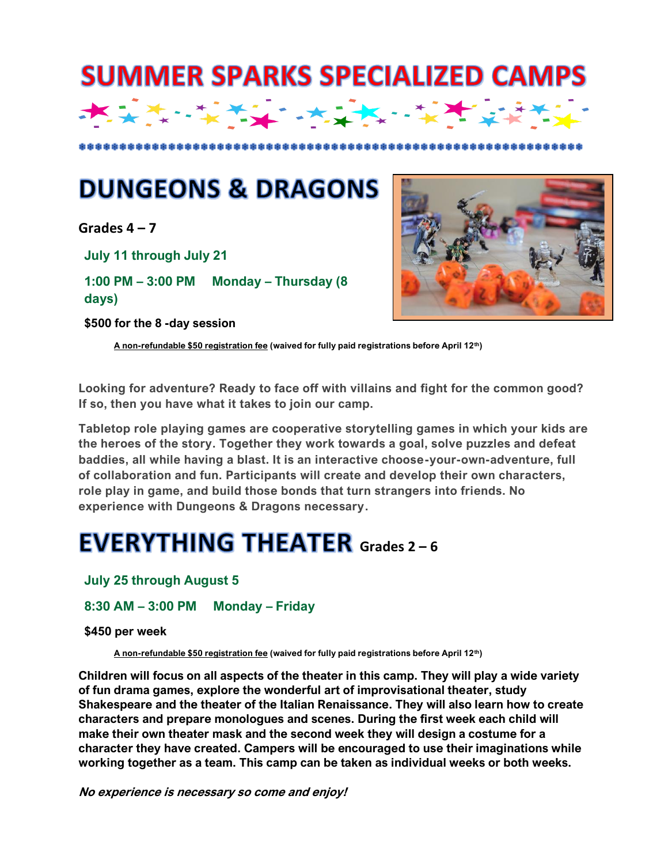

## **DUNGEONS & DRAGONS**

**Grades 4 – 7**

**July 11 through July 21** 

**1:00 PM – 3:00 PM Monday – Thursday (8 days)**

**\$500 for the 8 -day session** 



**A non-refundable \$50 registration fee (waived for fully paid registrations before April 12th)**

**Looking for adventure? Ready to face off with villains and fight for the common good? If so, then you have what it takes to join our camp.**

**Tabletop role playing games are cooperative storytelling games in which your kids are the heroes of the story. Together they work towards a goal, solve puzzles and defeat baddies, all while having a blast. It is an interactive choose-your-own-adventure, full of collaboration and fun. Participants will create and develop their own characters, role play in game, and build those bonds that turn strangers into friends. No experience with Dungeons & Dragons necessary.**

## **EVERYTHING THEATER** Grades 2 – 6

**July 25 through August 5** 

**8:30 AM – 3:00 PM Monday – Friday**

**\$450 per week**

**A non-refundable \$50 registration fee (waived for fully paid registrations before April 12th)**

**Children will focus on all aspects of the theater in this camp. They will play a wide variety of fun drama games, explore the wonderful art of improvisational theater, study Shakespeare and the theater of the Italian Renaissance. They will also learn how to create characters and prepare monologues and scenes. During the first week each child will make their own theater mask and the second week they will design a costume for a character they have created. Campers will be encouraged to use their imaginations while working together as a team. This camp can be taken as individual weeks or both weeks.**

**No experience is necessary so come and enjoy!**